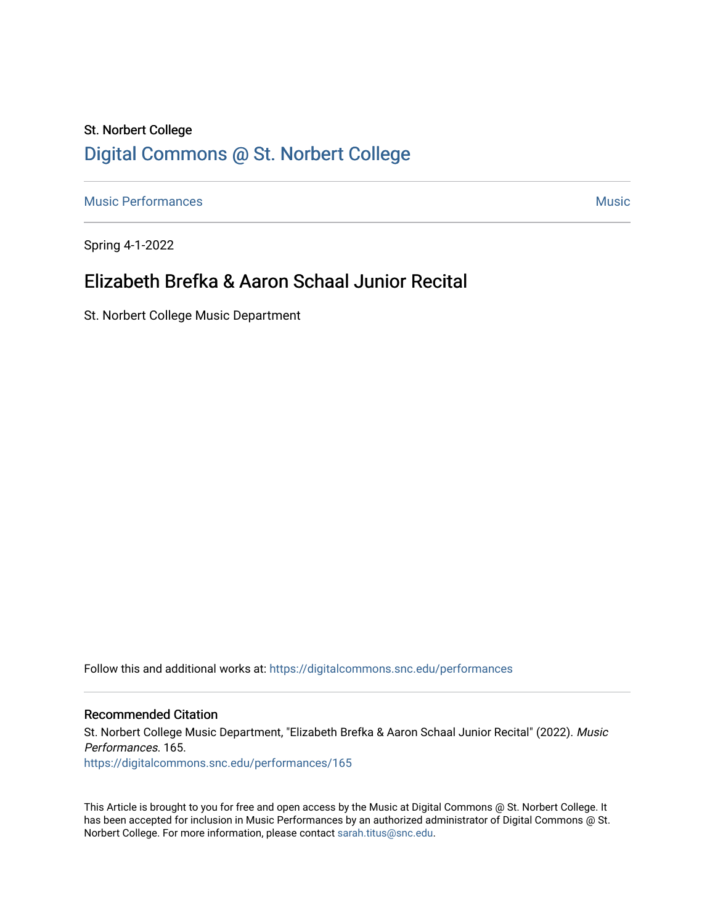# St. Norbert College [Digital Commons @ St. Norbert College](https://digitalcommons.snc.edu/)

[Music Performances](https://digitalcommons.snc.edu/performances) and the contract of the contract of the contract of the contract of the contract of the contract of the contract of the contract of the contract of the contract of the contract of the contract of the con

Spring 4-1-2022

# Elizabeth Brefka & Aaron Schaal Junior Recital

St. Norbert College Music Department

Follow this and additional works at: [https://digitalcommons.snc.edu/performances](https://digitalcommons.snc.edu/performances?utm_source=digitalcommons.snc.edu%2Fperformances%2F165&utm_medium=PDF&utm_campaign=PDFCoverPages)

### Recommended Citation

St. Norbert College Music Department, "Elizabeth Brefka & Aaron Schaal Junior Recital" (2022). Music Performances. 165. [https://digitalcommons.snc.edu/performances/165](https://digitalcommons.snc.edu/performances/165?utm_source=digitalcommons.snc.edu%2Fperformances%2F165&utm_medium=PDF&utm_campaign=PDFCoverPages) 

This Article is brought to you for free and open access by the Music at Digital Commons @ St. Norbert College. It has been accepted for inclusion in Music Performances by an authorized administrator of Digital Commons @ St. Norbert College. For more information, please contact [sarah.titus@snc.edu](mailto:sarah.titus@snc.edu).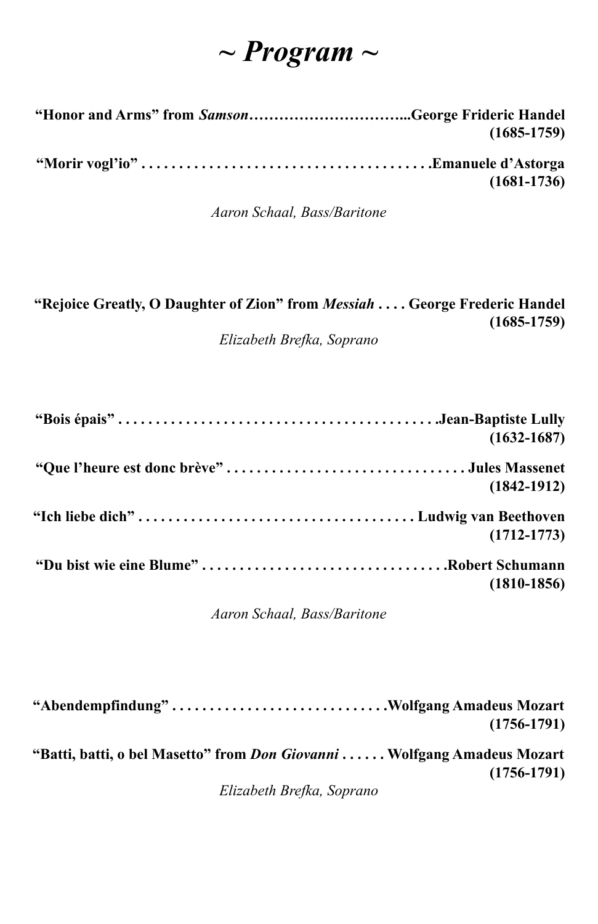# *~ Program ~*

| "Honor and Arms" from <i>Samson</i> George Frideric Handel |                 |
|------------------------------------------------------------|-----------------|
|                                                            | $(1685 - 1759)$ |
|                                                            | $(1681 - 1736)$ |

*Aaron Schaal, Bass/Baritone*

| "Rejoice Greatly, O Daughter of Zion" from <i>Messiah</i> George Frederic Handel |
|----------------------------------------------------------------------------------|
| $(1685-1759)$                                                                    |
| Elizabeth Brefka, Soprano                                                        |

|                                         | $(1632 - 1687)$ |
|-----------------------------------------|-----------------|
|                                         |                 |
|                                         | $(1842 - 1912)$ |
|                                         |                 |
|                                         | $(1712 - 1773)$ |
| "Du bist wie eine Blume"Robert Schumann |                 |
|                                         | $(1810-1856)$   |

*Aaron Schaal, Bass/Baritone*

| "Abendempfindung"Wolfgang Amadeus Mozart                                       | $(1756 - 1791)$ |
|--------------------------------------------------------------------------------|-----------------|
| "Batti, batti, o bel Masetto" from <i>Don Giovanni</i> Wolfgang Amadeus Mozart | $(1756 - 1791)$ |
| Elizabeth Brefka, Soprano                                                      |                 |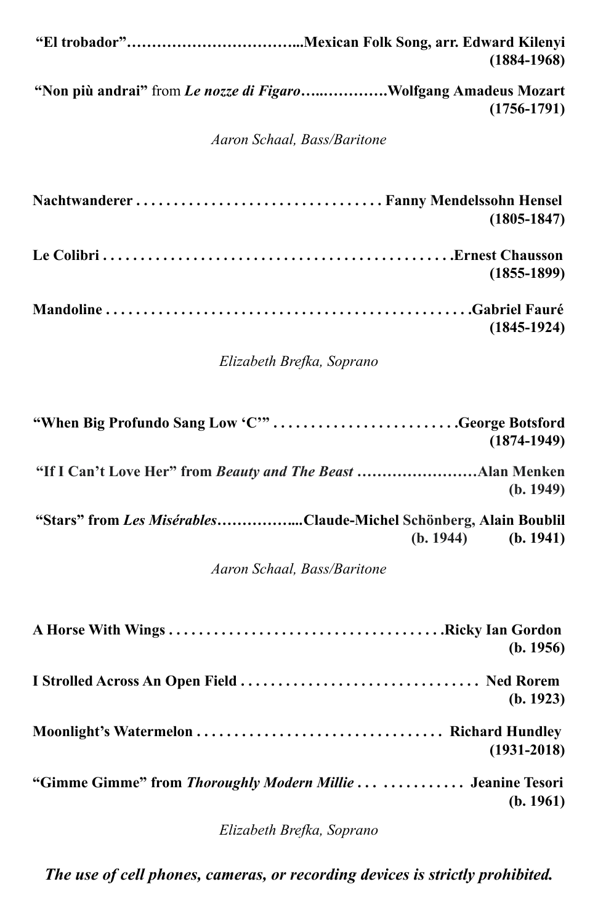| $(1884 - 1968)$                                                                             |
|---------------------------------------------------------------------------------------------|
| "Non più andrai" from Le nozze di FigaroWolfgang Amadeus Mozart<br>$(1756 - 1791)$          |
| Aaron Schaal, Bass/Baritone                                                                 |
| $(1805 - 1847)$                                                                             |
| $(1855 - 1899)$                                                                             |
| $(1845-1924)$                                                                               |
| Elizabeth Brefka, Soprano                                                                   |
| "When Big Profundo Sang Low 'C'"George Botsford<br>$(1874 - 1949)$                          |
| (b. 1949)                                                                                   |
| "Stars" from Les MisérablesClaude-Michel Schönberg, Alain Boublil<br>(b. 1944)<br>(b. 1941) |
| Aaron Schaal, Bass/Baritone                                                                 |
| (b. 1956)                                                                                   |
| (b. 1923)                                                                                   |
| $(1931 - 2018)$                                                                             |
| "Gimme Gimme" from Thoroughly Modern Millie   Jeanine Tesori<br>(b. 1961)                   |

*Elizabeth Brefka, Soprano*

*The use of cell phones, cameras, or recording devices is strictly prohibited.*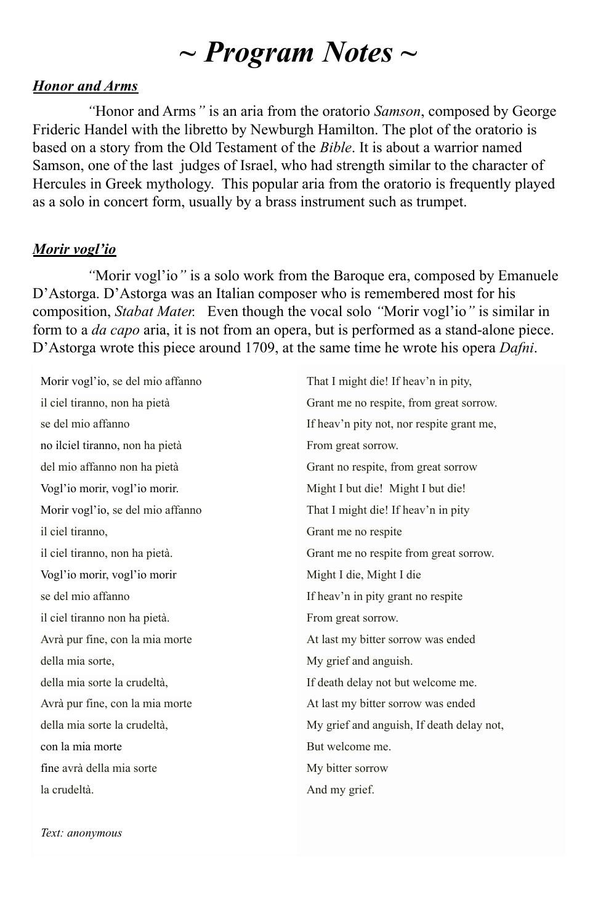# *~ Program Notes ~*

### *Honor and Arms*

*"*Honor and Arms*"* is an aria from the oratorio *Samson*, composed by George Frideric Handel with the libretto by Newburgh Hamilton. The plot of the oratorio is based on a story from the Old Testament of the *Bible*. It is about a warrior named Samson, one of the last judges of Israel, who had strength similar to the character of Hercules in Greek mythology. This popular aria from the oratorio is frequently played as a solo in concert form, usually by a brass instrument such as trumpet.

### *Morir vogl'io*

*"*Morir vogl'io*"* is a solo work from the Baroque era, composed by Emanuele D'Astorga. D'Astorga was an Italian composer who is remembered most for his composition, *Stabat Mater.* Even though the vocal solo *"*Morir vogl'io*"* is similar in form to a *da capo* aria, it is not from an opera, but is performed as a stand-alone piece. D'Astorga wrote this piece around 1709, at the same time he wrote his opera *Dafni*.

Morir vogl'io, se del mio affanno il ciel tiranno, non ha pietà se del mio affanno no ilciel tiranno, non ha pietà del mio affanno non ha pietà Vogl'io morir, vogl'io morir. Morir vogl'io, se del mio affanno il ciel tiranno, il ciel tiranno, non ha pietà. Vogl'io morir, vogl'io morir se del mio affanno il ciel tiranno non ha pietà. Avrà pur fine, con la mia morte della mia sorte, della mia sorte la crudeltà, Avrà pur fine, con la mia morte della mia sorte la crudeltà, con la mia morte fine avrà della mia sorte la crudeltà.

That I might die! If heav'n in pity, Grant me no respite, from great sorrow. If heav'n pity not, nor respite grant me, From great sorrow. Grant no respite, from great sorrow Might I but die! Might I but die! That I might die! If heav'n in pity Grant me no respite Grant me no respite from great sorrow. Might I die, Might I die If heav'n in pity grant no respite From great sorrow. At last my bitter sorrow was ended My grief and anguish. If death delay not but welcome me. At last my bitter sorrow was ended My grief and anguish, If death delay not, But welcome me. My bitter sorrow And my grief.

*Text: anonymous*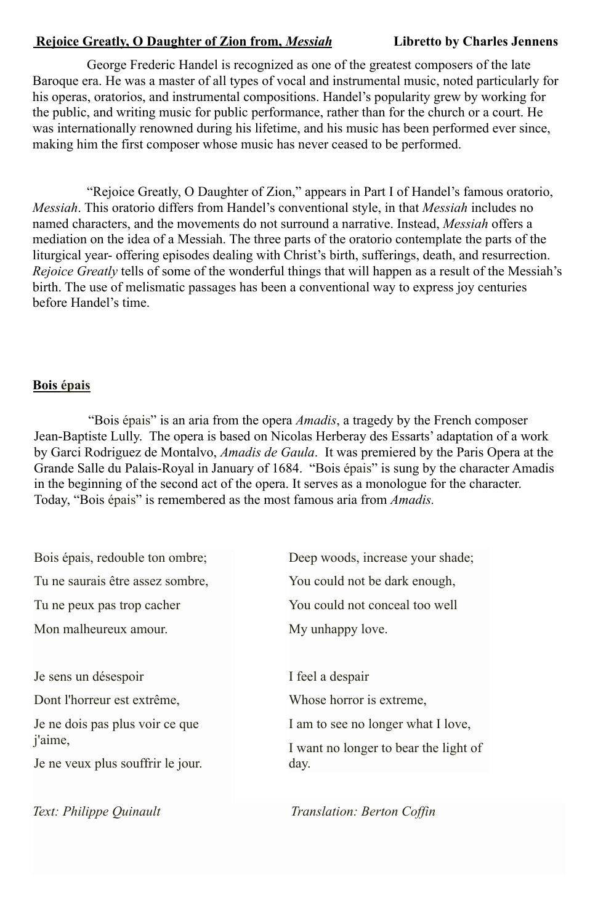### **Rejoice Greatly, O Daughter of Zion from,** *Messiah* **Libretto by Charles Jennens**

George Frederic Handel is recognized as one of the greatest composers of the late Baroque era. He was a master of all types of vocal and instrumental music, noted particularly for his operas, oratorios, and instrumental compositions. Handel's popularity grew by working for the public, and writing music for public performance, rather than for the church or a court. He was internationally renowned during his lifetime, and his music has been performed ever since, making him the first composer whose music has never ceased to be performed.

"Rejoice Greatly, O Daughter of Zion," appears in Part I of Handel's famous oratorio, *Messiah*. This oratorio differs from Handel's conventional style, in that *Messiah* includes no named characters, and the movements do not surround a narrative. Instead, *Messiah* offers a mediation on the idea of a Messiah. The three parts of the oratorio contemplate the parts of the liturgical year- offering episodes dealing with Christ's birth, sufferings, death, and resurrection. *Rejoice Greatly* tells of some of the wonderful things that will happen as a result of the Messiah's birth. The use of melismatic passages has been a conventional way to express joy centuries before Handel's time.

### **Bois épais**

"Bois épais" is an aria from the opera *Amadis*, a tragedy by the French composer Jean-Baptiste Lully. The opera is based on Nicolas Herberay des Essarts' adaptation of a work by Garci Rodriguez de Montalvo, *Amadis de Gaula*. It was premiered by the Paris Opera at the Grande Salle du Palais-Royal in January of 1684. "Bois épais" is sung by the character Amadis in the beginning of the second act of the opera. It serves as a monologue for the character. Today, "Bois épais" is remembered as the most famous aria from *Amadis.*

| Deep woods, increase your shade;      |
|---------------------------------------|
| You could not be dark enough,         |
| You could not conceal too well        |
| My unhappy love.                      |
| I feel a despair                      |
| Whose horror is extreme.              |
| I am to see no longer what I love,    |
| I want no longer to bear the light of |
| day.                                  |
|                                       |

*Text: Philippe Quinault Translation: Berton Coffin*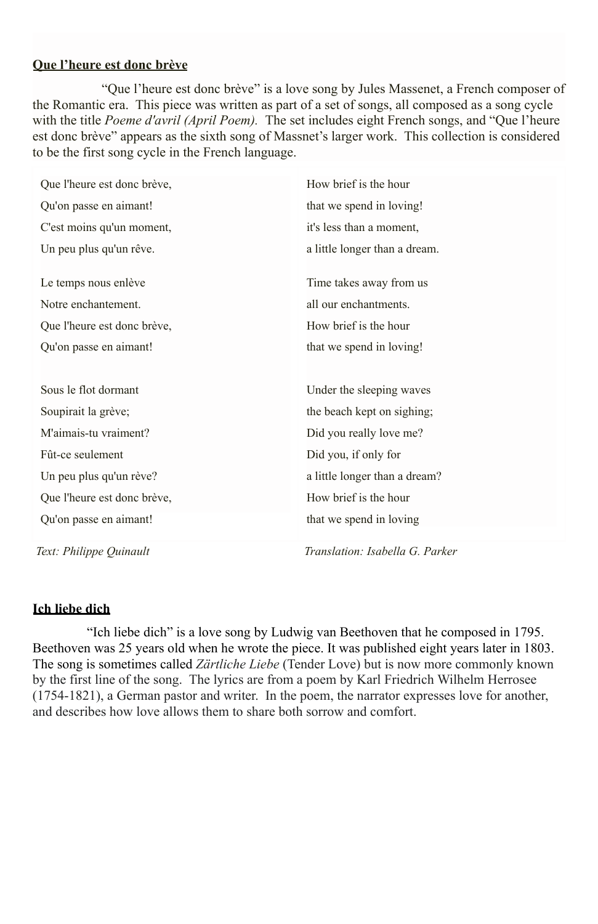#### **Que l'heure est donc brève**

"Que l'heure est donc brève" is a love song by Jules Massenet, a French composer of the Romantic era. This piece was written as part of a set of songs, all composed as a song cycle with the title *Poeme d'avril (April Poem)*. The set includes eight French songs, and "Que l'heure est donc brève" appears as the sixth song of Massnet's larger work. This collection is considered to be the first song cycle in the French language.

| Que l'heure est donc brève, | How brief is the hour           |
|-----------------------------|---------------------------------|
| Qu'on passe en aimant!      | that we spend in loving!        |
| C'est moins qu'un moment,   | it's less than a moment,        |
| Un peu plus qu'un rêve.     | a little longer than a dream.   |
| Le temps nous enlève        | Time takes away from us         |
| Notre enchantement.         | all our enchantments.           |
| Que l'heure est donc brève, | How brief is the hour           |
| Qu'on passe en aimant!      | that we spend in loving!        |
|                             |                                 |
| Sous le flot dormant        | Under the sleeping waves        |
| Soupirait la grève;         | the beach kept on sighing;      |
| M'aimais-tu vraiment?       | Did you really love me?         |
| Fût-ce seulement            | Did you, if only for            |
| Un peu plus qu'un rève?     | a little longer than a dream?   |
| Que l'heure est donc brève, | How brief is the hour           |
| Qu'on passe en aimant!      | that we spend in loving         |
| Text: Philippe Quinault     | Translation: Isabella G. Parker |

### **Ich liebe dich**

"Ich liebe dich" is a love song by Ludwig van Beethoven that he composed in 1795. Beethoven was 25 years old when he wrote the piece. It was published eight years later in 1803. The song is sometimes called *Zärtliche Liebe* (Tender Love) but is now more commonly known by the first line of the song. The lyrics are from a poem by Karl Friedrich Wilhelm Herrosee (1754-1821), a German pastor and writer. In the poem, the narrator expresses love for another, and describes how love allows them to share both sorrow and comfort.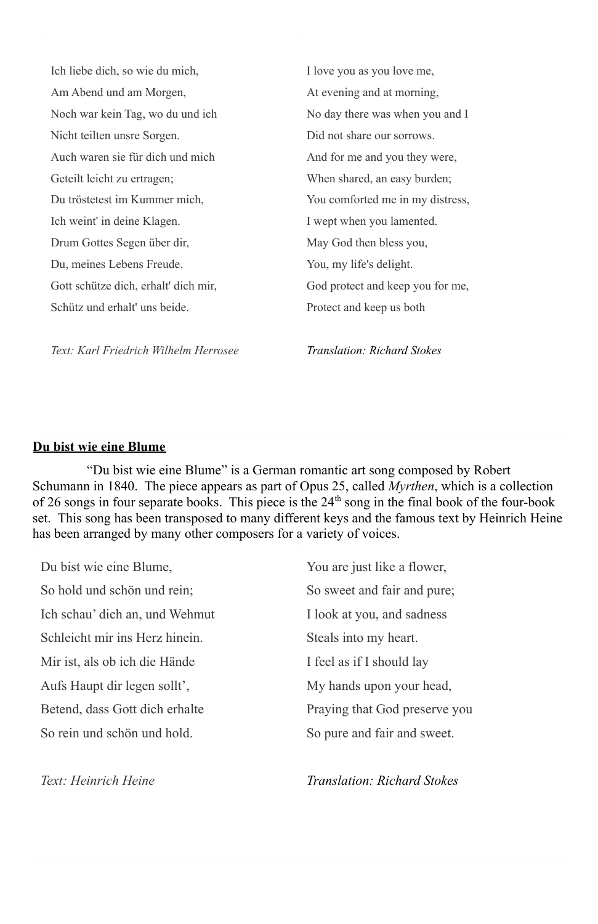Ich liebe dich, so wie du mich, Am Abend und am Morgen, Noch war kein Tag, wo du und ich Nicht teilten unsre Sorgen. Auch waren sie für dich und mich Geteilt leicht zu ertragen; Du tröstetest im Kummer mich, Ich weint' in deine Klagen. Drum Gottes Segen über dir, Du, meines Lebens Freude. Gott schütze dich, erhalt' dich mir, Schütz und erhalt' uns beide. I love you as you love me, At evening and at morning, No day there was when you and I Did not share our sorrows. And for me and you they were, When shared, an easy burden; You comforted me in my distress, I wept when you lamented. May God then bless you, You, my life's delight. God protect and keep you for me, Protect and keep us both

*Text: Karl Friedrich Wilhelm Herrosee*

*Translation: Richard Stokes*

#### **Du bist wie eine Blume**

"Du bist wie eine Blume" is a German romantic art song composed by Robert Schumann in 1840. The piece appears as part of Opus 25, called *Myrthen*, which is a collection of 26 songs in four separate books. This piece is the  $24<sup>th</sup>$  song in the final book of the four-book set. This song has been transposed to many different keys and the famous text by Heinrich Heine has been arranged by many other composers for a variety of voices.

Du bist wie eine Blume, So hold und schön und rein; Ich schau' dich an, und Wehmut Schleicht mir ins Herz hinein. Mir ist, als ob ich die Hände Aufs Haupt dir legen sollt', Betend, dass Gott dich erhalte So rein und schön und hold.

*Text: Heinrich Heine*

You are just like a flower, So sweet and fair and pure; I look at you, and sadness Steals into my heart. I feel as if I should lay My hands upon your head, Praying that God preserve you So pure and fair and sweet.

*Translation: Richard Stokes*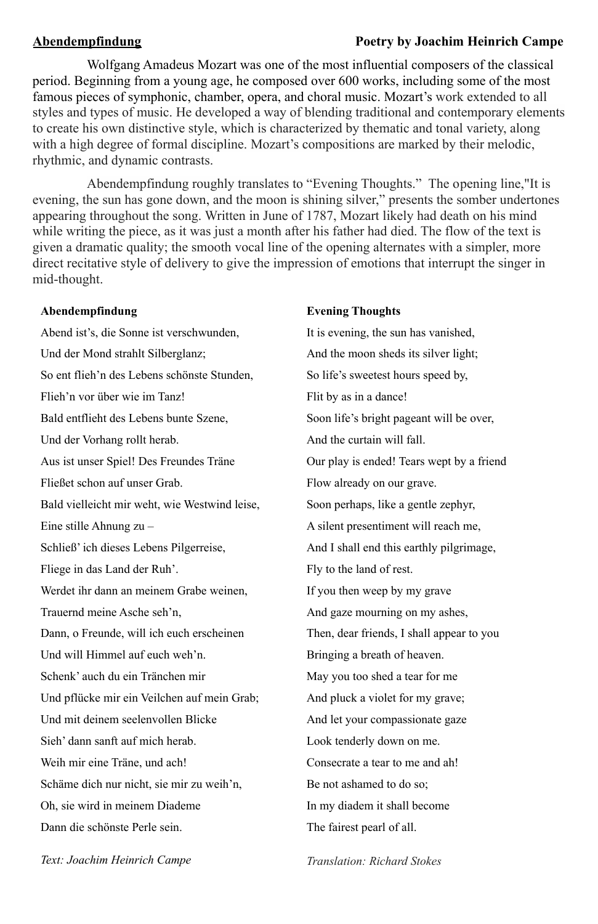#### **Abendempfindung Poetry by Joachim Heinrich Campe**

Wolfgang Amadeus Mozart was one of the most influential composers of the classical period. Beginning from a young age, he composed over 600 works, including some of the most famous pieces of symphonic, chamber, opera, and choral music. Mozart's work extended to all styles and types of music. He developed a way of blending traditional and contemporary elements to create his own distinctive style, which is characterized by thematic and tonal variety, along with a high degree of formal discipline. Mozart's compositions are marked by their melodic, rhythmic, and dynamic contrasts.

Abendempfindung roughly translates to "Evening Thoughts." The opening line,"It is evening, the sun has gone down, and the moon is shining silver," presents the somber undertones appearing throughout the song. Written in June of 1787, Mozart likely had death on his mind while writing the piece, as it was just a month after his father had died. The flow of the text is given a dramatic quality; the smooth vocal line of the opening alternates with a simpler, more direct recitative style of delivery to give the impression of emotions that interrupt the singer in mid-thought.

#### **Abendempfindung**

Abend ist's, die Sonne ist verschwunden, Und der Mond strahlt Silberglanz; So ent flieh'n des Lebens schönste Stunden, Flieh'n vor über wie im Tanz! Bald entflieht des Lebens bunte Szene, Und der Vorhang rollt herab. Aus ist unser Spiel! Des Freundes Träne Fließet schon auf unser Grab. Bald vielleicht mir weht, wie Westwind leise, Eine stille Ahnung zu – Schließ' ich dieses Lebens Pilgerreise, Fliege in das Land der Ruh'. Werdet ihr dann an meinem Grabe weinen, Trauernd meine Asche seh'n, Dann, o Freunde, will ich euch erscheinen Und will Himmel auf euch weh'n. Schenk' auch du ein Tränchen mir Und pflücke mir ein Veilchen auf mein Grab; Und mit deinem seelenvollen Blicke Sieh' dann sanft auf mich herab. Weih mir eine Träne, und ach! Schäme dich nur nicht, sie mir zu weih'n, Oh, sie wird in meinem Diademe Dann die schönste Perle sein.

#### **Evening Thoughts**

It is evening, the sun has vanished, And the moon sheds its silver light; So life's sweetest hours speed by, Flit by as in a dance! Soon life's bright pageant will be over, And the curtain will fall. Our play is ended! Tears wept by a friend Flow already on our grave. Soon perhaps, like a gentle zephyr, A silent presentiment will reach me, And I shall end this earthly pilgrimage, Fly to the land of rest. If you then weep by my grave And gaze mourning on my ashes, Then, dear friends, I shall appear to you Bringing a breath of heaven. May you too shed a tear for me And pluck a violet for my grave; And let your compassionate gaze Look tenderly down on me. Consecrate a tear to me and ah! Be not ashamed to do so; In my diadem it shall become The fairest pearl of all.

*Text: Joachim Heinrich Campe*

*Translation: Richard Stokes*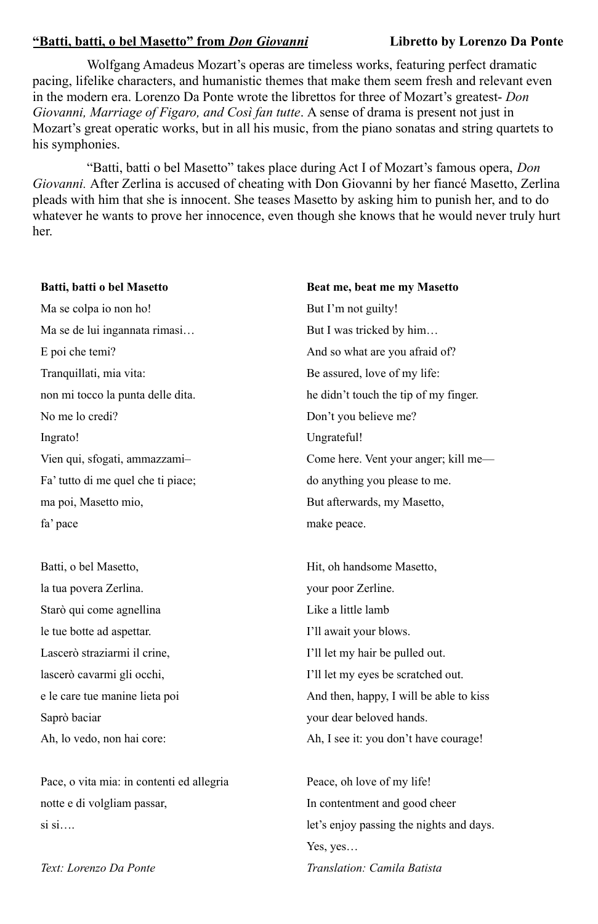#### **"Batti, batti, o bel Masetto" from** *Don Giovanni* **Libretto by Lorenzo Da Ponte**

Wolfgang Amadeus Mozart's operas are timeless works, featuring perfect dramatic pacing, lifelike characters, and humanistic themes that make them seem fresh and relevant even in the modern era. Lorenzo Da Ponte wrote the librettos for three of Mozart's greatest- *Don Giovanni, Marriage of Figaro, and Così fan tutte*. A sense of drama is present not just in Mozart's great operatic works, but in all his music, from the piano sonatas and string quartets to his symphonies.

"Batti, batti o bel Masetto" takes place during Act I of Mozart's famous opera, *Don Giovanni.* After Zerlina is accused of cheating with Don Giovanni by her fiancé Masetto, Zerlina pleads with him that she is innocent. She teases Masetto by asking him to punish her, and to do whatever he wants to prove her innocence, even though she knows that he would never truly hurt her.

#### **Batti, batti o bel Masetto**

Ma se colpa io non ho! Ma se de lui ingannata rimasi… E poi che temi? Tranquillati, mia vita: non mi tocco la punta delle dita. No me lo credi? Ingrato! Vien qui, sfogati, ammazzami– Fa' tutto di me quel che ti piace; ma poi, Masetto mio, fa' pace

Batti, o bel Masetto, la tua povera Zerlina. Starò qui come agnellina le tue botte ad aspettar. Lascerò straziarmi il crine, lascerò cavarmi gli occhi, e le care tue manine lieta poi Saprò baciar Ah, lo vedo, non hai core:

Pace, o vita mia: in contenti ed allegria notte e di volgliam passar, si si….

*Text: Lorenzo Da Ponte*

**Beat me, beat me my Masetto** But I'm not guilty! But I was tricked by him… And so what are you afraid of? Be assured, love of my life: he didn't touch the tip of my finger. Don't you believe me? Ungrateful! Come here. Vent your anger; kill me do anything you please to me. But afterwards, my Masetto, make peace.

Hit, oh handsome Masetto, your poor Zerline. Like a little lamb I'll await your blows. I'll let my hair be pulled out. I'll let my eyes be scratched out. And then, happy, I will be able to kiss your dear beloved hands. Ah, I see it: you don't have courage!

Peace, oh love of my life! In contentment and good cheer let's enjoy passing the nights and days. Yes, yes… *Translation: Camila Batista*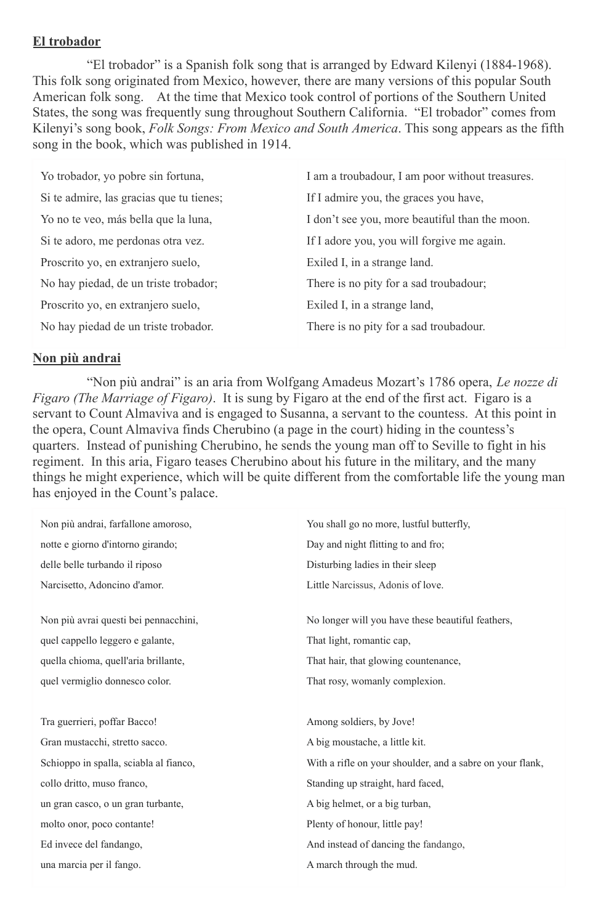#### **El trobador**

"El trobador" is a Spanish folk song that is arranged by Edward Kilenyi (1884-1968). This folk song originated from Mexico, however, there are many versions of this popular South American folk song. At the time that Mexico took control of portions of the Southern United States, the song was frequently sung throughout Southern California. "El trobador" comes from Kilenyi's song book, *Folk Songs: From Mexico and South America*. This song appears as the fifth song in the book, which was published in 1914.

| Yo trobador, yo pobre sin fortuna,       | I am a troubadour, I am poor without treasures. |
|------------------------------------------|-------------------------------------------------|
| Si te admire, las gracias que tu tienes; | If I admire you, the graces you have,           |
| Yo no te veo, más bella que la luna,     | I don't see you, more beautiful than the moon.  |
| Si te adoro, me perdonas otra vez.       | If I adore you, you will forgive me again.      |
| Proscrito yo, en extranjero suelo,       | Exiled I, in a strange land.                    |
| No hay piedad, de un triste trobador;    | There is no pity for a sad troubadour;          |
| Proscrito yo, en extranjero suelo,       | Exiled I, in a strange land,                    |
| No hay piedad de un triste trobador.     | There is no pity for a sad troubadour.          |

#### **Non più andrai**

"Non più andrai" is an aria from Wolfgang Amadeus Mozart's 1786 opera, *Le nozze di Figaro (The Marriage of Figaro)*. It is sung by Figaro at the end of the first act. Figaro is a servant to Count Almaviva and is engaged to Susanna, a servant to the countess. At this point in the opera, Count Almaviva finds Cherubino (a page in the court) hiding in the countess's quarters. Instead of punishing Cherubino, he sends the young man off to Seville to fight in his regiment. In this aria, Figaro teases Cherubino about his future in the military, and the many things he might experience, which will be quite different from the comfortable life the young man has enjoyed in the Count's palace.

| Non più andrai, farfallone amoroso,    | You shall go no more, lustful butterfly,                  |
|----------------------------------------|-----------------------------------------------------------|
| notte e giorno d'intorno girando;      | Day and night flitting to and fro;                        |
| delle belle turbando il riposo         | Disturbing ladies in their sleep                          |
| Narcisetto, Adoncino d'amor.           | Little Narcissus, Adonis of love.                         |
|                                        |                                                           |
| Non più avrai questi bei pennacchini,  | No longer will you have these beautiful feathers,         |
| quel cappello leggero e galante,       | That light, romantic cap,                                 |
| quella chioma, quell'aria brillante,   | That hair, that glowing countenance,                      |
| quel vermiglio donnesco color.         | That rosy, womanly complexion.                            |
|                                        |                                                           |
| Tra guerrieri, poffar Bacco!           | Among soldiers, by Jove!                                  |
| Gran mustacchi, stretto sacco.         | A big moustache, a little kit.                            |
| Schioppo in spalla, sciabla al fianco, | With a rifle on your shoulder, and a sabre on your flank, |
| collo dritto, muso franco,             | Standing up straight, hard faced,                         |
| un gran casco, o un gran turbante,     | A big helmet, or a big turban,                            |
| molto onor, poco contante!             | Plenty of honour, little pay!                             |
| Ed invece del fandango,                | And instead of dancing the fandango,                      |
|                                        |                                                           |
| una marcia per il fango.               | A march through the mud.                                  |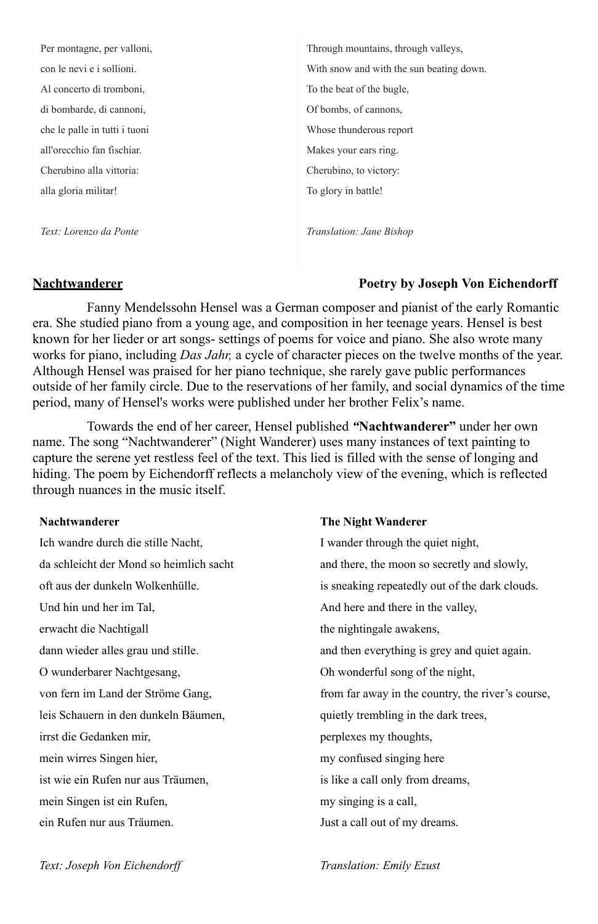| Per montagne, per valloni,    | Through mountains, through valleys,      |
|-------------------------------|------------------------------------------|
| con le nevi e i sollioni.     | With snow and with the sun beating down. |
| Al concerto di tromboni,      | To the beat of the bugle.                |
| di bombarde, di cannoni,      | Of bombs, of cannons,                    |
| che le palle in tutti i tuoni | Whose thunderous report                  |
| all'orecchio fan fischiar.    | Makes your ears ring.                    |
| Cherubino alla vittoria:      | Cherubino, to victory:                   |
| alla gloria militar!          | To glory in battle!                      |
|                               |                                          |
| Text: Lorenzo da Ponte        | Translation: Jane Bishop                 |
|                               |                                          |

#### **Nachtwanderer Poetry by Joseph Von Eichendorff**

Fanny Mendelssohn Hensel was a German composer and pianist of the early Romantic era. She studied piano from a young age, and composition in her teenage years. Hensel is best known for her lieder or art songs- settings of poems for voice and piano. She also wrote many works for piano, including *Das Jahr,* a cycle of character pieces on the twelve months of the year. Although Hensel was praised for her piano technique, she rarely gave public performances outside of her family circle. Due to the reservations of her family, and social dynamics of the time period, many of Hensel's works were published under her brother Felix's name.

Towards the end of her career, Hensel published *"***Nachtwanderer"** under her own name. The song "Nachtwanderer" (Night Wanderer) uses many instances of text painting to capture the serene yet restless feel of the text. This lied is filled with the sense of longing and hiding. The poem by Eichendorff reflects a melancholy view of the evening, which is reflected through nuances in the music itself.

#### **Nachtwanderer**

| Ich wandre durch die stille Nacht,      | I wander through the quiet night,                 |
|-----------------------------------------|---------------------------------------------------|
| da schleicht der Mond so heimlich sacht | and there, the moon so secretly and slowly,       |
| oft aus der dunkeln Wolkenhülle.        | is sneaking repeatedly out of the dark clouds.    |
| Und hin und her im Tal.                 | And here and there in the valley,                 |
| erwacht die Nachtigall                  | the nightingale awakens,                          |
| dann wieder alles grau und stille.      | and then everything is grey and quiet again.      |
| O wunderbarer Nachtgesang,              | Oh wonderful song of the night,                   |
| von fern im Land der Ströme Gang,       | from far away in the country, the river's course, |
| leis Schauern in den dunkeln Bäumen,    | quietly trembling in the dark trees,              |
| irrst die Gedanken mir,                 | perplexes my thoughts,                            |
| mein wirres Singen hier,                | my confused singing here                          |
| ist wie ein Rufen nur aus Träumen,      | is like a call only from dreams,                  |
| mein Singen ist ein Rufen,              | my singing is a call.                             |
| ein Rufen nur aus Träumen.              | Just a call out of my dreams.                     |

**The Night Wanderer**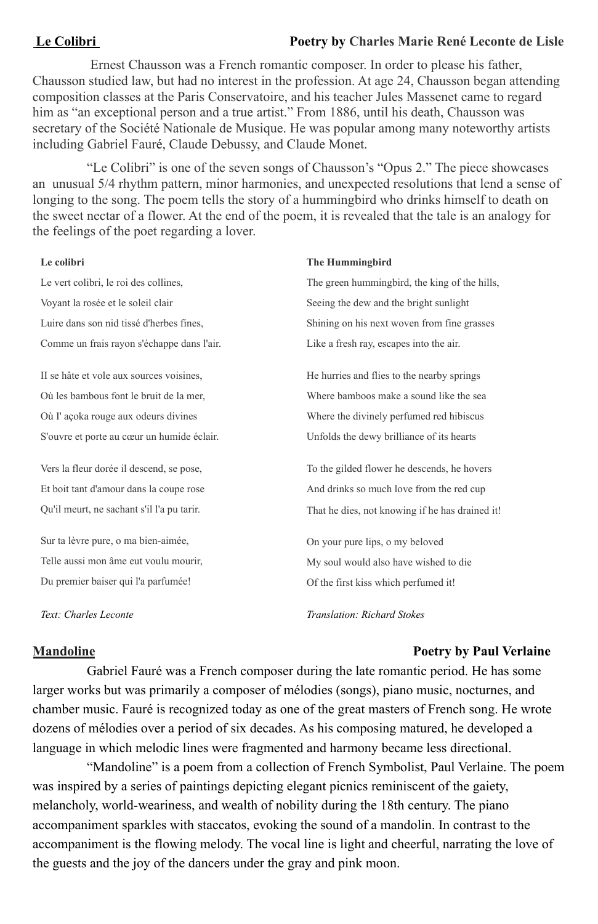#### **Le Colibri Poetry by Charles Marie René Leconte de Lisle**

Ernest Chausson was a French romantic composer. In order to please his father, Chausson studied law, but had no interest in the profession. At age 24, Chausson began attending composition classes at the Paris Conservatoire, and his teacher Jules Massenet came to regard him as "an exceptional person and a true artist." From 1886, until his death, Chausson was secretary of the Société Nationale de Musique. He was popular among many noteworthy artists including Gabriel Fauré, Claude Debussy, and Claude Monet.

"Le Colibri" is one of the seven songs of Chausson's "Opus 2." The piece showcases an unusual 5/4 rhythm pattern, minor harmonies, and unexpected resolutions that lend a sense of longing to the song. The poem tells the story of a hummingbird who drinks himself to death on the sweet nectar of a flower. At the end of the poem, it is revealed that the tale is an analogy for the feelings of the poet regarding a lover.

#### **Le colibri**

Le vert colibri, le roi des collines, Voyant la rosée et le soleil clair Luire dans son nid tissé d'herbes fines, Comme un frais rayon s'échappe dans l'air.

II se hâte et vole aux sources voisines, Où les bambous font le bruit de la mer, Où I' açoka rouge aux odeurs divines S'ouvre et porte au cœur un humide éclair.

Vers la fleur dorée il descend, se pose, Et boit tant d'amour dans la coupe rose Qu'il meurt, ne sachant s'il l'a pu tarir.

Sur ta lèvre pure, o ma bien-aimée, Telle aussi mon âme eut voulu mourir, Du premier baiser qui l'a parfumée!

*Text: Charles Leconte*

#### **The Hummingbird**

The green hummingbird, the king of the hills, Seeing the dew and the bright sunlight Shining on his next woven from fine grasses Like a fresh ray, escapes into the air.

He hurries and flies to the nearby springs Where bamboos make a sound like the sea Where the divinely perfumed red hibiscus Unfolds the dewy brilliance of its hearts

To the gilded flower he descends, he hovers And drinks so much love from the red cup That he dies, not knowing if he has drained it!

On your pure lips, o my beloved My soul would also have wished to die Of the first kiss which perfumed it!

*Translation: Richard Stokes*

#### **Mandoline Poetry by Paul Verlaine**

Gabriel Fauré was a French composer during the late romantic period. He has some larger works but was primarily a composer of mélodies (songs), piano music, nocturnes, and chamber music. Fauré is recognized today as one of the great masters of French song. He wrote dozens of mélodies over a period of six decades. As his composing matured, he developed a language in which melodic lines were fragmented and harmony became less directional.

"Mandoline" is a poem from a collection of French Symbolist, Paul Verlaine. The poem was inspired by a series of paintings depicting elegant picnics reminiscent of the gaiety, melancholy, world-weariness, and wealth of nobility during the 18th century. The piano accompaniment sparkles with staccatos, evoking the sound of a mandolin. In contrast to the accompaniment is the flowing melody. The vocal line is light and cheerful, narrating the love of the guests and the joy of the dancers under the gray and pink moon.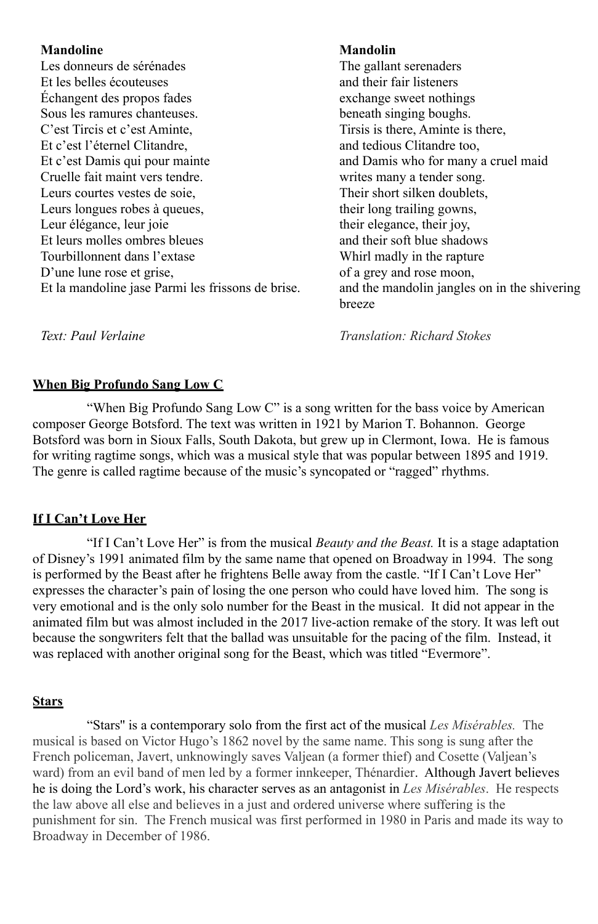#### **Mandoline**

Les donneurs de sérénades Et les belles écouteuses Échangent des propos fades Sous les ramures chanteuses. C'est Tircis et c'est Aminte, Et c'est l'éternel Clitandre, Et c'est Damis qui pour mainte Cruelle fait maint vers tendre. Leurs courtes vestes de soie, Leurs longues robes à queues, Leur élégance, leur joie Et leurs molles ombres bleues Tourbillonnent dans l'extase D'une lune rose et grise, Et la mandoline jase Parmi les frissons de brise.

### **Mandolin**

The gallant serenaders and their fair listeners exchange sweet nothings beneath singing boughs. Tirsis is there, Aminte is there, and tedious Clitandre too, and Damis who for many a cruel maid writes many a tender song. Their short silken doublets, their long trailing gowns, their elegance, their joy, and their soft blue shadows Whirl madly in the rapture of a grey and rose moon, and the mandolin jangles on in the shivering breeze

*Text: Paul Verlaine*

*Translation: Richard Stokes*

### **When Big Profundo Sang Low C**

"When Big Profundo Sang Low C" is a song written for the bass voice by American composer George Botsford. The text was written in 1921 by Marion T. Bohannon. George Botsford was born in Sioux Falls, South Dakota, but grew up in Clermont, Iowa. He is famous for writing ragtime songs, which was a musical style that was popular between 1895 and 1919. The genre is called ragtime because of the music's syncopated or "ragged" rhythms.

### **If I Can't Love Her**

"If I Can't Love Her" is from the musical *Beauty and the Beast.* It is a stage adaptation of Disney's 1991 animated film by the same name that opened on Broadway in 1994. The song is performed by the Beast after he frightens Belle away from the castle. "If I Can't Love Her" expresses the character's pain of losing the one person who could have loved him. The song is very emotional and is the only solo number for the Beast in the musical. It did not appear in the animated film but was almost included in the 2017 live-action remake of the story. It was left out because the songwriters felt that the ballad was unsuitable for the pacing of the film. Instead, it was replaced with another original song for the Beast, which was titled "Evermore".

### **Stars**

"Stars'' is a contemporary solo from the first act of the musical *Les Misérables.* The musical is based on Victor Hugo's 1862 novel by the same name. This song is sung after the French policeman, Javert, unknowingly saves Valjean (a former thief) and Cosette (Valjean's ward) from an evil band of men led by a former innkeeper, Thénardier. Although Javert believes he is doing the Lord's work, his character serves as an antagonist in *Les Misérables*. He respects the law above all else and believes in a just and ordered universe where suffering is the punishment for sin. The French musical was first performed in 1980 in Paris and made its way to Broadway in December of 1986.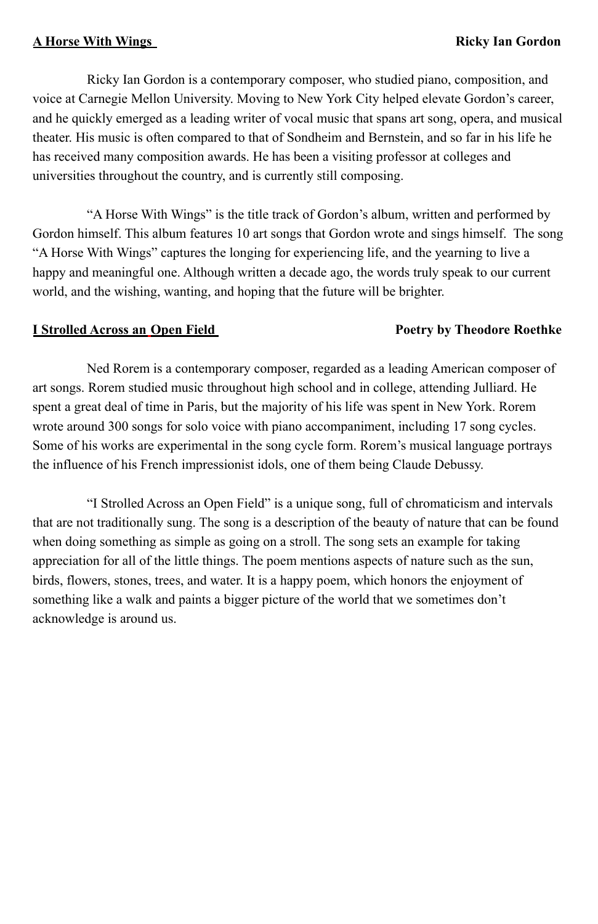### **A Horse With Wings Ricky Ian Gordon**

Ricky Ian Gordon is a contemporary composer, who studied piano, composition, and voice at Carnegie Mellon University. Moving to New York City helped elevate Gordon's career, and he quickly emerged as a leading writer of vocal music that spans art song, opera, and musical theater. His music is often compared to that of Sondheim and Bernstein, and so far in his life he has received many composition awards. He has been a visiting professor at colleges and universities throughout the country, and is currently still composing.

"A Horse With Wings" is the title track of Gordon's album, written and performed by Gordon himself. This album features 10 art songs that Gordon wrote and sings himself. The song "A Horse With Wings" captures the longing for experiencing life, and the yearning to live a happy and meaningful one. Although written a decade ago, the words truly speak to our current world, and the wishing, wanting, and hoping that the future will be brighter.

### **I Strolled Across an Open Field <b>Poetry by Theodore Roethke**

Ned Rorem is a contemporary composer, regarded as a leading American composer of art songs. Rorem studied music throughout high school and in college, attending Julliard. He spent a great deal of time in Paris, but the majority of his life was spent in New York. Rorem wrote around 300 songs for solo voice with piano accompaniment, including 17 song cycles. Some of his works are experimental in the song cycle form. Rorem's musical language portrays the influence of his French impressionist idols, one of them being Claude Debussy.

"I Strolled Across an Open Field" is a unique song, full of chromaticism and intervals that are not traditionally sung. The song is a description of the beauty of nature that can be found when doing something as simple as going on a stroll. The song sets an example for taking appreciation for all of the little things. The poem mentions aspects of nature such as the sun, birds, flowers, stones, trees, and water. It is a happy poem, which honors the enjoyment of something like a walk and paints a bigger picture of the world that we sometimes don't acknowledge is around us.